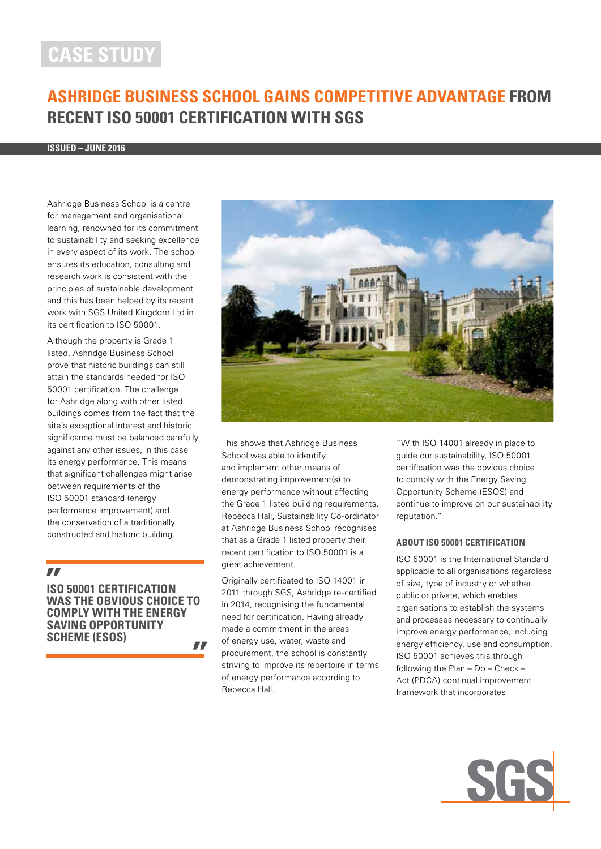# **case study**

# **Ashridge Business School gains competitive advantage from recent ISO 50001 certification with SGS**

**ISSUED – June 2016**

Ashridge Business School is a centre for management and organisational learning, renowned for its commitment to sustainability and seeking excellence in every aspect of its work. The school ensures its education, consulting and research work is consistent with the principles of sustainable development and this has been helped by its recent work with SGS United Kingdom Ltd in its certification to ISO 50001.

Although the property is Grade 1 listed, Ashridge Business School prove that historic buildings can still attain the standards needed for ISO 50001 certification. The challenge for Ashridge along with other listed buildings comes from the fact that the site's exceptional interest and historic significance must be balanced carefully against any other issues, in this case its energy performance. This means that significant challenges might arise between requirements of the ISO 50001 standard (energy performance improvement) and the conservation of a traditionally constructed and historic building.

# $\mathbf{r}$

**ISO 50001 certification was the obvious choice to comply with the Energy Saving Opportunity Scheme (ESOS)** $\mathbf{r}$ 



This shows that Ashridge Business School was able to identify and implement other means of demonstrating improvement(s) to energy performance without affecting the Grade 1 listed building requirements. Rebecca Hall, Sustainability Co-ordinator at Ashridge Business School recognises that as a Grade 1 listed property their recent certification to ISO 50001 is a great achievement.

Originally certificated to ISO 14001 in 2011 through SGS, Ashridge re-certified in 2014, recognising the fundamental need for certification. Having already made a commitment in the areas of energy use, water, waste and procurement, the school is constantly striving to improve its repertoire in terms of energy performance according to Rebecca Hall.

"With ISO 14001 already in place to guide our sustainability, ISO 50001 certification was the obvious choice to comply with the Energy Saving Opportunity Scheme (ESOS) and continue to improve on our sustainability reputation."

#### **About ISO 50001 certification**

ISO 50001 is the International Standard applicable to all organisations regardless of size, type of industry or whether public or private, which enables organisations to establish the systems and processes necessary to continually improve energy performance, including energy efficiency, use and consumption. ISO 50001 achieves this through following the Plan – Do – Check – Act (PDCA) continual improvement framework that incorporates